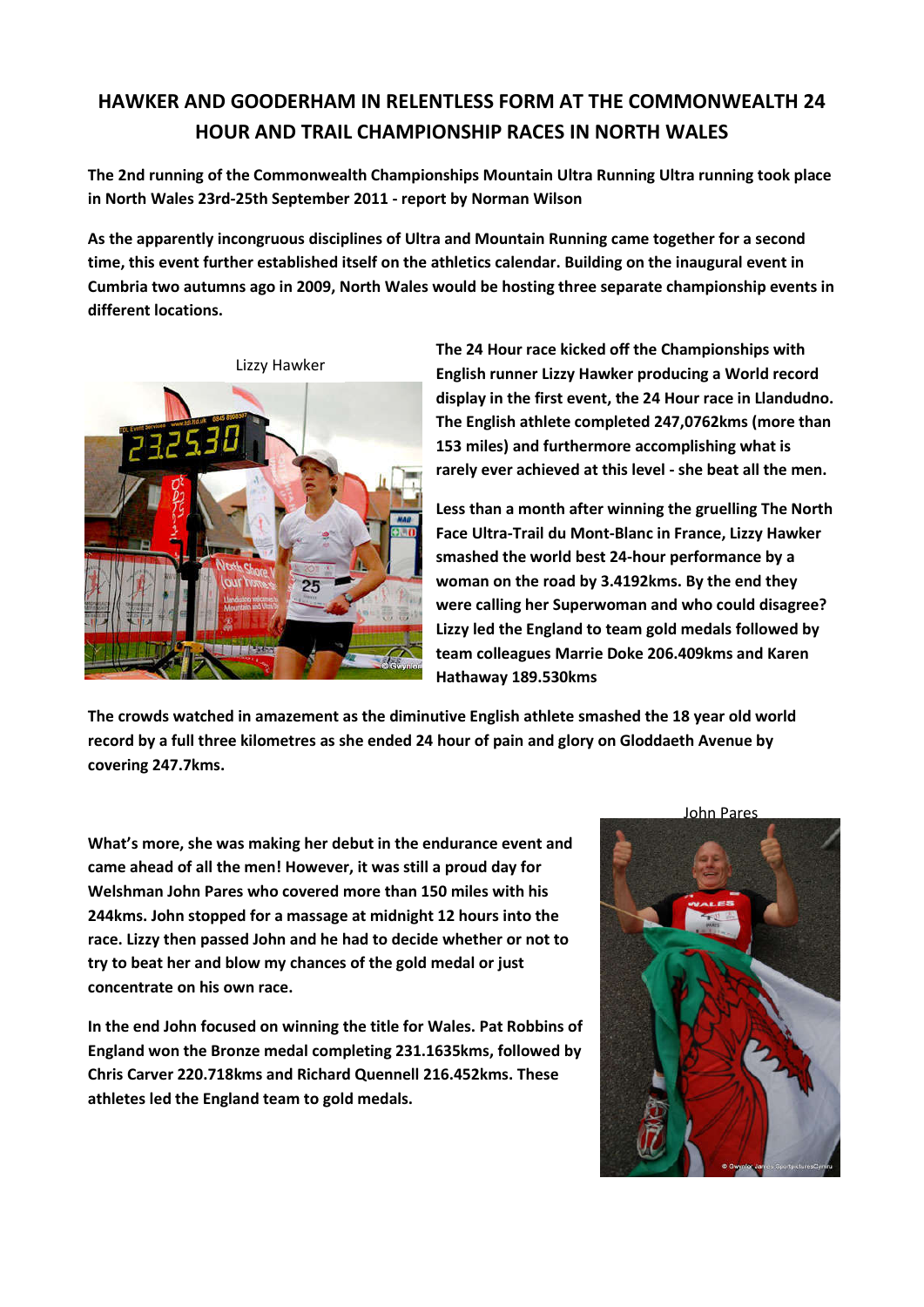## **HAWKER AND GOODERHAM IN RELENTLESS FORM AT THE COMMONWEALTH 24 HOUR AND TRAIL CHAMPIONSHIP RACES IN NORTH WALES**

**The 2nd running of the Commonwealth Championships Mountain Ultra Running Ultra running took place in North Wales 23rd-25th September 2011 - report by Norman Wilson**

**As the apparently incongruous disciplines of Ultra and Mountain Running came together for a second time, this event further established itself on the athletics calendar. Building on the inaugural event in Cumbria two autumns ago in 2009, North Wales would be hosting three separate championship events in different locations.**



**The 24 Hour race kicked off the Championships with English runner Lizzy Hawker producing a World record display in the first event, the 24 Hour race in Llandudno. The English athlete completed 247,0762kms (more than 153 miles) and furthermore accomplishing what is rarely ever achieved at this level - she beat all the men.** 

**Less than a month after winning the gruelling The North Face Ultra-Trail du Mont-Blanc in France, Lizzy Hawker smashed the world best 24-hour performance by a woman on the road by 3.4192kms. By the end they were calling her Superwoman and who could disagree? Lizzy led the England to team gold medals followed by team colleagues Marrie Doke 206.409kms and Karen Hathaway 189.530kms**

**The crowds watched in amazement as the diminutive English athlete smashed the 18 year old world record by a full three kilometres as she ended 24 hour of pain and glory on Gloddaeth Avenue by covering 247.7kms.**

**What's more, she was making her debut in the endurance event and came ahead of all the men! However, it was still a proud day for Welshman John Pares who covered more than 150 miles with his 244kms. John stopped for a massage at midnight 12 hours into the race. Lizzy then passed John and he had to decide whether or not to try to beat her and blow my chances of the gold medal or just concentrate on his own race.**

**In the end John focused on winning the title for Wales. Pat Robbins of England won the Bronze medal completing 231.1635kms, followed by Chris Carver 220.718kms and Richard Quennell 216.452kms. These athletes led the England team to gold medals.**

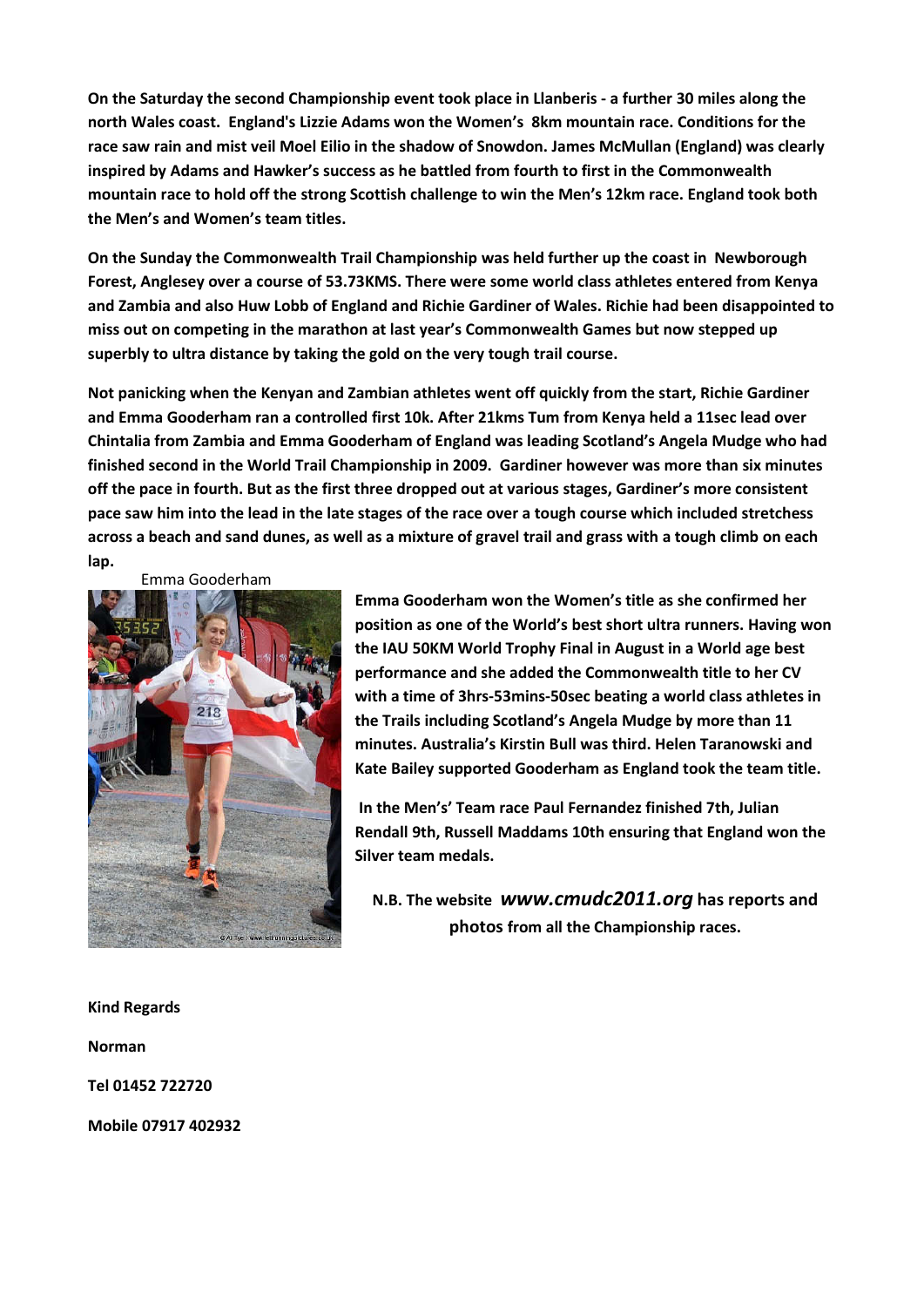**On the Saturday the second Championship event took place in Llanberis - a further 30 miles along the north Wales coast. England's Lizzie Adams won the Women's 8km mountain race. Conditions for the race saw rain and mist veil Moel Eilio in the shadow of Snowdon. James McMullan (England) was clearly inspired by Adams and Hawker's success as he battled from fourth to first in the Commonwealth mountain race to hold off the strong Scottish challenge to win the Men's 12km race. England took both the Men's and Women's team titles.**

**On the Sunday the Commonwealth Trail Championship was held further up the coast in Newborough Forest, Anglesey over a course of 53.73KMS. There were some world class athletes entered from Kenya and Zambia and also Huw Lobb of England and Richie Gardiner of Wales. Richie had been disappointed to miss out on competing in the marathon at last year's Commonwealth Games but now stepped up superbly to ultra distance by taking the gold on the very tough trail course.**

**Not panicking when the Kenyan and Zambian athletes went off quickly from the start, Richie Gardiner and Emma Gooderham ran a controlled first 10k. After 21kms Tum from Kenya held a 11sec lead over Chintalia from Zambia and Emma Gooderham of England was leading Scotland's Angela Mudge who had finished second in the World Trail Championship in 2009. Gardiner however was more than six minutes off the pace in fourth. But as the first three dropped out at various stages, Gardiner's more consistent pace saw him into the lead in the late stages of the race over a tough course which included stretchess across a beach and sand dunes, as well as a mixture of gravel trail and grass with a tough climb on each lap.**

Emma Gooderham



**Emma Gooderham won the Women's title as she confirmed her position as one of the World's best short ultra runners. Having won the IAU 50KM World Trophy Final in August in a World age best performance and she added the Commonwealth title to her CV with a time of 3hrs-53mins-50sec beating a world class athletes in the Trails including Scotland's Angela Mudge by more than 11 minutes. Australia's Kirstin Bull was third. Helen Taranowski and Kate Bailey supported Gooderham as England took the team title.**

**In the Men's' Team race Paul Fernandez finished 7th, Julian Rendall 9th, Russell Maddams 10th ensuring that England won the Silver team medals.**

**N.B. The website** *www.cmudc2011.org* **has reports and photos from all the Championship races.**

**Kind Regards**

**Norman**

**Tel 01452 722720**

**Mobile 07917 402932**